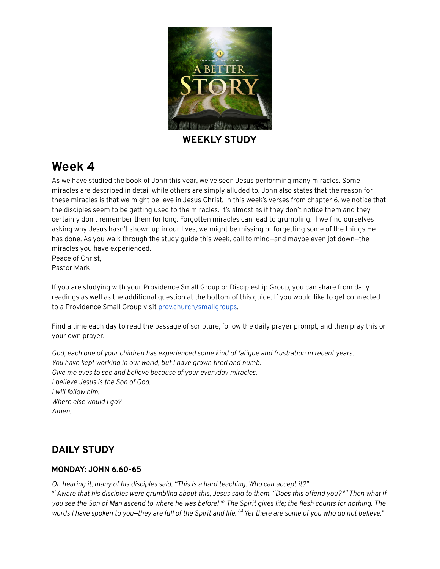

**WEEKLY STUDY**

# **Week 4**

As we have studied the book of John this year, we've seen Jesus performing many miracles. Some miracles are described in detail while others are simply alluded to. John also states that the reason for these miracles is that we might believe in Jesus Christ. In this week's verses from chapter 6, we notice that the disciples seem to be getting used to the miracles. It's almost as if they don't notice them and they certainly don't remember them for long. Forgotten miracles can lead to grumbling. If we find ourselves asking why Jesus hasn't shown up in our lives, we might be missing or forgetting some of the things He has done. As you walk through the study guide this week, call to mind—and maybe even jot down—the miracles you have experienced. Peace of Christ,

Pastor Mark

If you are studying with your Providence Small Group or Discipleship Group, you can share from daily readings as well as the additional question at the bottom of this guide. If you would like to get connected to a Providence Small Group visit [prov.church/smallgroups.](https://prov.church/ministries/adults/)

Find a time each day to read the passage of scripture, follow the daily prayer prompt, and then pray this or your own prayer.

*God, each one of your children has experienced some kind of fatigue and frustration in recent years. You have kept working in our world, but I have grown tired and numb. Give me eyes to see and believe because of your everyday miracles. I believe Jesus is the Son of God. I will follow him. Where else would I go? Amen.*

# **DAILY STUDY**

#### **MONDAY: JOHN 6.60-65**

*On hearing it, many of his disciples said, "This is a hard teaching. Who can accept it?"*

 $^{61}$ Aware that his disciples were grumbling about this, Jesus said to them, "Does this offend you?  $^{62}$  Then what if you see the Son of Man ascend to where he was before! <sup>63</sup> The Spirit gives life; the flesh counts for nothing. The words I have spoken to you—they are full of the Spirit and life. <sup>64</sup> Yet there are some of you who do not believe."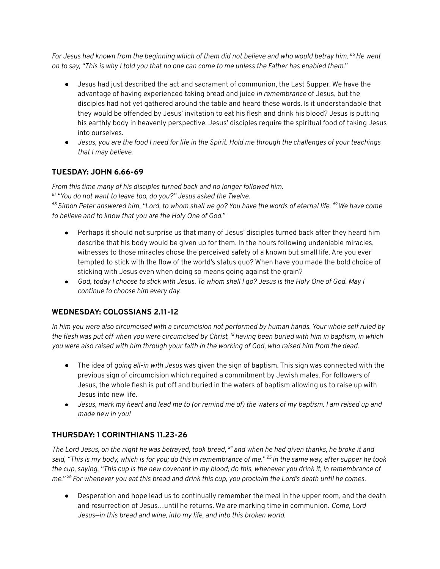For Jesus had known from the beginning which of them did not believe and who would betray him. <sup>65</sup> He went on to say, "This is why I told you that no one can come to me unless the Father has enabled them."

- *●* Jesus had just described the act and sacrament of communion, the Last Supper. We have the advantage of having experienced taking bread and juice *in remembrance* of Jesus, but the disciples had not yet gathered around the table and heard these words. Is it understandable that they would be offended by Jesus' invitation to eat his flesh and drink his blood? Jesus is putting his earthly body in heavenly perspective. Jesus' disciples require the spiritual food of taking Jesus into ourselves.
- Jesus, you are the food I need for life in the Spirit. Hold me through the challenges of your teachings *that I may believe.*

## **TUESDAY: JOHN 6.66-69**

*From this time many of his disciples turned back and no longer followed him.*

*<sup>67</sup> "You do not want to leave too, do you?" Jesus asked the Twelve.*

<sup>68</sup> Simon Peter answered him, "Lord, to whom shall we go? You have the words of eternal life. <sup>69</sup> We have come *to believe and to know that you are the Holy One of God."*

- Perhaps it should not surprise us that many of Jesus' disciples turned back after they heard him describe that his body would be given up for them. In the hours following undeniable miracles, witnesses to those miracles chose the perceived safety of a known but small life. Are you ever tempted to stick with the flow of the world's status quo? When have you made the bold choice of sticking with Jesus even when doing so means going against the grain?
- God, today I choose to stick with Jesus. To whom shall I go? Jesus is the Holy One of God. May I *continue to choose him every day.*

## **WEDNESDAY: COLOSSIANS 2.11-12**

In him you were also circumcised with a circumcision not performed by human hands. Your whole self ruled by the flesh was put off when you were circumcised by Christ, <sup>12</sup> having been buried with him in baptism, in which you were also raised with him through your faith in the working of God, who raised him from the dead.

- The idea of *going all-in with Jesus* was given the sign of baptism. This sign was connected with the previous sign of circumcision which required a commitment by Jewish males. For followers of Jesus, the whole flesh is put off and buried in the waters of baptism allowing us to raise up with Jesus into new life.
- Jesus, mark my heart and lead me to (or remind me of) the waters of my baptism. I am raised up and *made new in you!*

## **THURSDAY: 1 CORINTHIANS 11.23-26**

The Lord Jesus, on the night he was betrayed, took bread, <sup>24</sup> and when he had given thanks, he broke it and said, "This is my body, which is for you; do this in remembrance of me." <sup>25</sup> In the same way, after supper he took the cup, saying, "This cup is the new covenant in my blood; do this, whenever you drink it, in remembrance of me." <sup>26</sup> For whenever you eat this bread and drink this cup, you proclaim the Lord's death until he comes.

*●* Desperation and hope lead us to continually remember the meal in the upper room, and the death and resurrection of Jesus…until he returns. We are marking time in communion. *Come, Lord Jesus—in this bread and wine, into my life, and into this broken world.*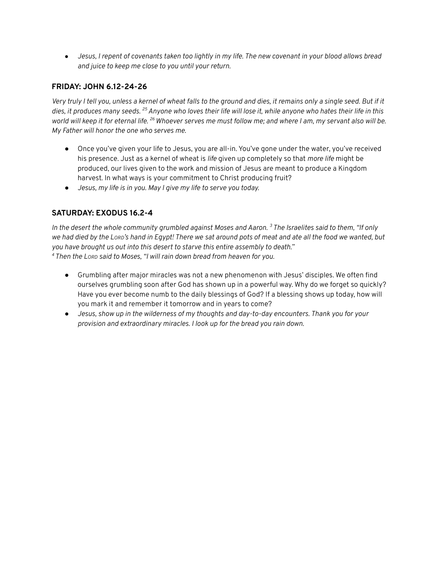• Jesus, I repent of covenants taken too lightly in my life. The new covenant in your blood allows bread *and juice to keep me close to you until your return.*

#### **FRIDAY: JOHN 6.12-24-26**

Very truly I tell you, unless a kernel of wheat falls to the ground and dies, it remains only a single seed. But if it dies, it produces many seeds. <sup>25</sup> Anyone who loves their life will lose it, while anyone who hates their life in this world will keep it for eternal life. <sup>26</sup> Whoever serves me must follow me; and where I am, my servant also will be. *My Father will honor the one who serves me.*

- *●* Once you've given your life to Jesus, you are all-in. You've gone under the water, you've received his presence. Just as a kernel of wheat is *life* given up completely so that *more life* might be produced, our lives given to the work and mission of Jesus are meant to produce a Kingdom harvest. In what ways is your commitment to Christ producing fruit?
- *● Jesus, my life is in you. May I give my life to serve you today.*

#### **SATURDAY: EXODUS 16.2-4**

In the desert the whole community grumbled against Moses and Aaron. <sup>3</sup> The Israelites said to them, "If only we had died by the Lorp's hand in Egypt! There we sat around pots of meat and ate all the food we wanted, but *you have brought us out into this desert to starve this entire assembly to death." <sup>4</sup> Then the LORD said to Moses, "I will rain down bread from heaven for you.*

- Grumbling after major miracles was not a new phenomenon with Jesus' disciples. We often find ourselves grumbling soon after God has shown up in a powerful way. Why do we forget so quickly? Have you ever become numb to the daily blessings of God? If a blessing shows up today, how will you mark it and remember it tomorrow and in years to come?
- *● Jesus, show up in the wilderness of my thoughts and day-to-day encounters. Thank you for your provision and extraordinary miracles. I look up for the bread you rain down.*